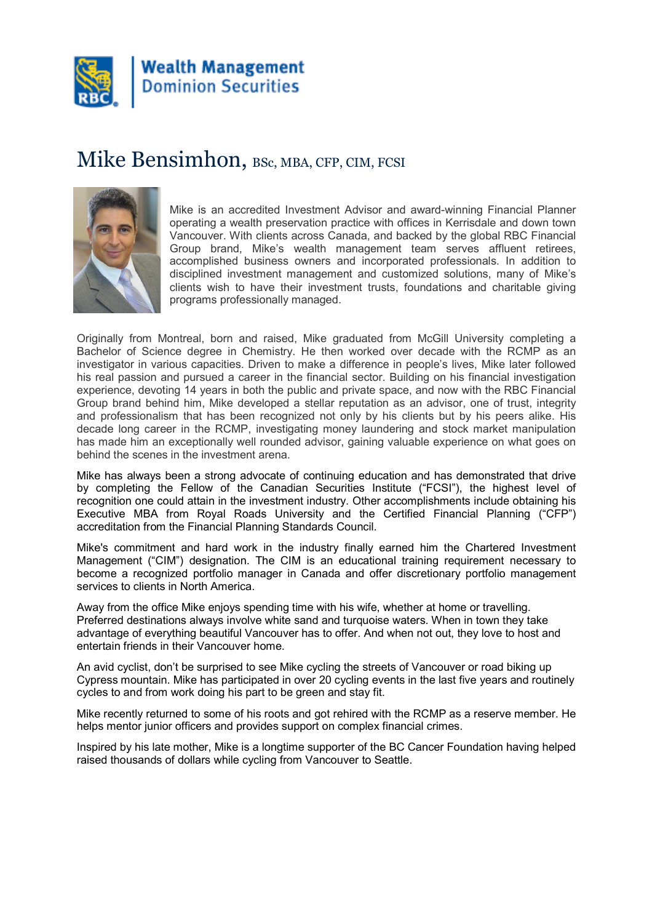

#### Mike Bensimhon, BSc, MBA, CFP, CIM, FCSI



Mike is an accredited Investment Advisor and award-winning Financial Planner operating a wealth preservation practice with offices in Kerrisdale and down town Vancouver. With clients across Canada, and backed by the global RBC Financial Group brand, Mike's wealth management team serves affluent retirees, accomplished business owners and incorporated professionals. In addition to disciplined investment management and customized solutions, many of Mike's clients wish to have their investment trusts, foundations and charitable giving programs professionally managed.

Originally from Montreal, born and raised, Mike graduated from McGill University completing a Bachelor of Science degree in Chemistry. He then worked over decade with the RCMP as an investigator in various capacities. Driven to make a difference in people's lives, Mike later followed his real passion and pursued a career in the financial sector. Building on his financial investigation experience, devoting 14 years in both the public and private space, and now with the RBC Financial Group brand behind him, Mike developed a stellar reputation as an advisor, one of trust, integrity and professionalism that has been recognized not only by his clients but by his peers alike. His decade long career in the RCMP, investigating money laundering and stock market manipulation has made him an exceptionally well rounded advisor, gaining valuable experience on what goes on behind the scenes in the investment arena.

Mike has always been a strong advocate of continuing education and has demonstrated that drive by completing the Fellow of the Canadian Securities Institute ("FCSI"), the highest level of recognition one could attain in the investment industry. Other accomplishments include obtaining his Executive MBA from Royal Roads University and the Certified Financial Planning ("CFP") accreditation from the Financial Planning Standards Council.

Mike's commitment and hard work in the industry finally earned him the Chartered Investment Management ("CIM") designation. The CIM is an educational training requirement necessary to become a recognized portfolio manager in Canada and offer discretionary portfolio management services to clients in North America.

Away from the office Mike enjoys spending time with his wife, whether at home or travelling. Preferred destinations always involve white sand and turquoise waters. When in town they take advantage of everything beautiful Vancouver has to offer. And when not out, they love to host and entertain friends in their Vancouver home.

An avid cyclist, don't be surprised to see Mike cycling the streets of Vancouver or road biking up Cypress mountain. Mike has participated in over 20 cycling events in the last five years and routinely cycles to and from work doing his part to be green and stay fit.

Mike recently returned to some of his roots and got rehired with the RCMP as a reserve member. He helps mentor junior officers and provides support on complex financial crimes.

Inspired by his late mother, Mike is a longtime supporter of the BC Cancer Foundation having helped raised thousands of dollars while cycling from Vancouver to Seattle.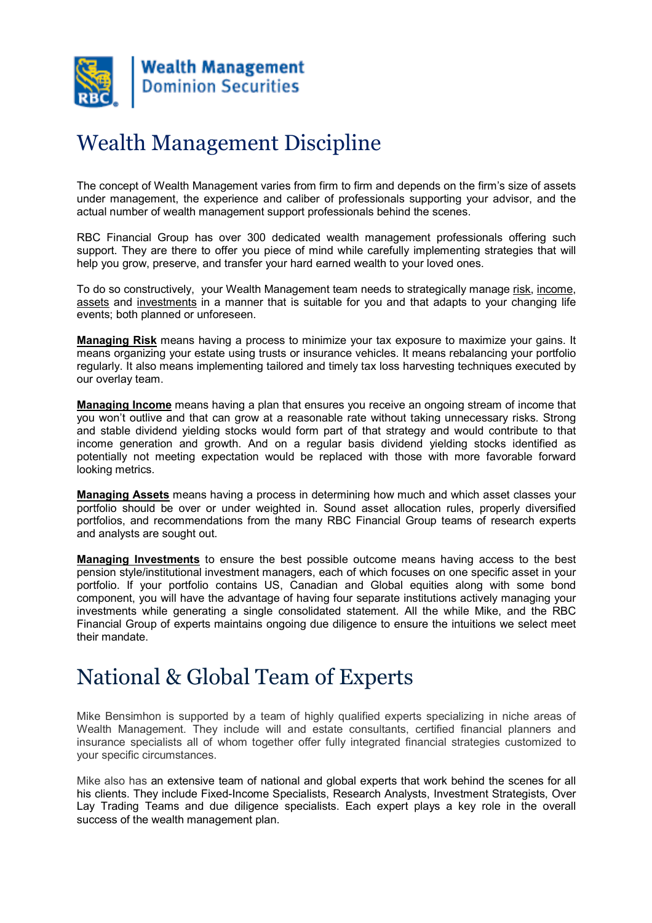

# Wealth Management Discipline

The concept of Wealth Management varies from firm to firm and depends on the firm's size of assets under management, the experience and caliber of professionals supporting your advisor, and the actual number of wealth management support professionals behind the scenes.

RBC Financial Group has over 300 dedicated wealth management professionals offering such support. They are there to offer you piece of mind while carefully implementing strategies that will help you grow, preserve, and transfer your hard earned wealth to your loved ones.

To do so constructively, your Wealth Management team needs to strategically manage risk, income, assets and investments in a manner that is suitable for you and that adapts to your changing life events; both planned or unforeseen.

Managing Risk means having a process to minimize your tax exposure to maximize your gains. It means organizing your estate using trusts or insurance vehicles. It means rebalancing your portfolio regularly. It also means implementing tailored and timely tax loss harvesting techniques executed by our overlay team.

Managing Income means having a plan that ensures you receive an ongoing stream of income that you won't outlive and that can grow at a reasonable rate without taking unnecessary risks. Strong and stable dividend yielding stocks would form part of that strategy and would contribute to that income generation and growth. And on a regular basis dividend yielding stocks identified as potentially not meeting expectation would be replaced with those with more favorable forward looking metrics.

Managing Assets means having a process in determining how much and which asset classes your portfolio should be over or under weighted in. Sound asset allocation rules, properly diversified portfolios, and recommendations from the many RBC Financial Group teams of research experts and analysts are sought out.

Managing Investments to ensure the best possible outcome means having access to the best pension style/institutional investment managers, each of which focuses on one specific asset in your portfolio. If your portfolio contains US, Canadian and Global equities along with some bond component, you will have the advantage of having four separate institutions actively managing your investments while generating a single consolidated statement. All the while Mike, and the RBC Financial Group of experts maintains ongoing due diligence to ensure the intuitions we select meet their mandate.

## National & Global Team of Experts

Mike Bensimhon is supported by a team of highly qualified experts specializing in niche areas of Wealth Management. They include will and estate consultants, certified financial planners and insurance specialists all of whom together offer fully integrated financial strategies customized to your specific circumstances.

Mike also has an extensive team of national and global experts that work behind the scenes for all his clients. They include Fixed-Income Specialists, Research Analysts, Investment Strategists, Over Lay Trading Teams and due diligence specialists. Each expert plays a key role in the overall success of the wealth management plan.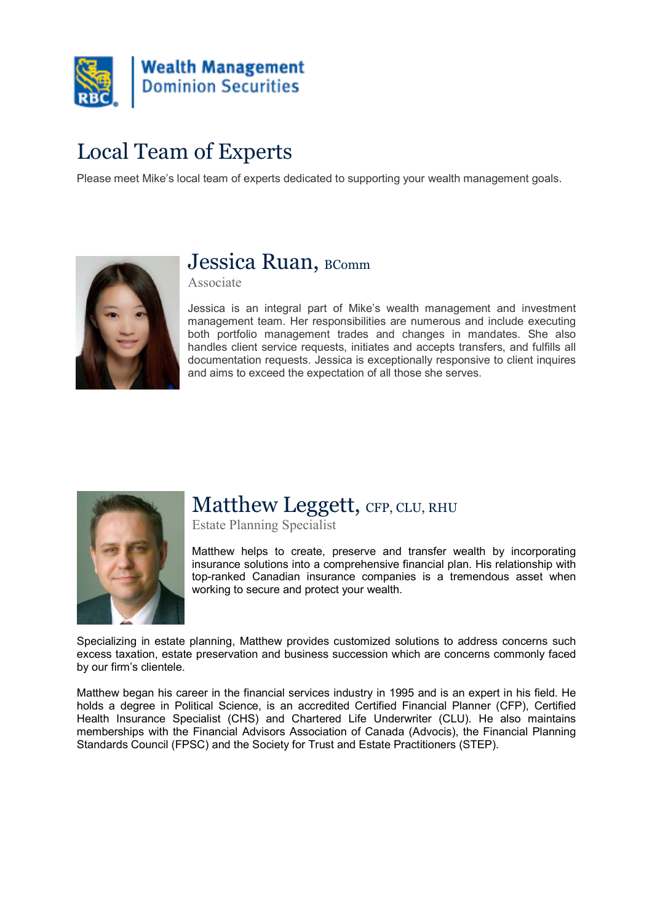

# Local Team of Experts

Please meet Mike's local team of experts dedicated to supporting your wealth management goals.



### Jessica Ruan, BComm

Associate

Jessica is an integral part of Mike's wealth management and investment management team. Her responsibilities are numerous and include executing both portfolio management trades and changes in mandates. She also handles client service requests, initiates and accepts transfers, and fulfills all documentation requests. Jessica is exceptionally responsive to client inquires and aims to exceed the expectation of all those she serves.



## Matthew Leggett, CFP, CLU, RHU

Estate Planning Specialist

Matthew helps to create, preserve and transfer wealth by incorporating insurance solutions into a comprehensive financial plan. His relationship with top-ranked Canadian insurance companies is a tremendous asset when working to secure and protect your wealth.

Specializing in estate planning, Matthew provides customized solutions to address concerns such excess taxation, estate preservation and business succession which are concerns commonly faced by our firm's clientele.

Matthew began his career in the financial services industry in 1995 and is an expert in his field. He holds a degree in Political Science, is an accredited Certified Financial Planner (CFP), Certified Health Insurance Specialist (CHS) and Chartered Life Underwriter (CLU). He also maintains memberships with the Financial Advisors Association of Canada (Advocis), the Financial Planning Standards Council (FPSC) and the Society for Trust and Estate Practitioners (STEP).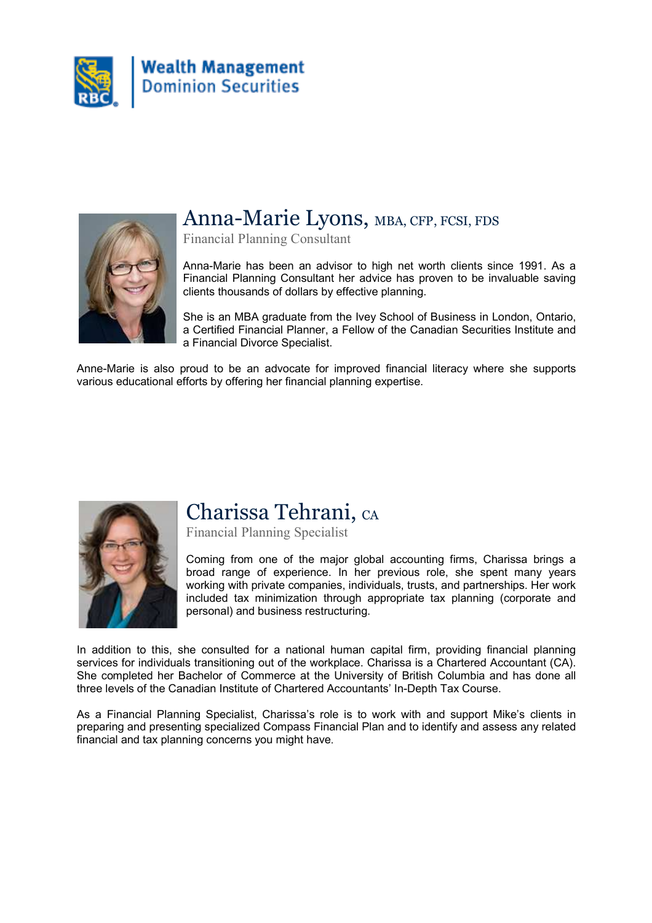



#### Anna-Marie Lyons, MBA, CFP, FCSI, FDS

Financial Planning Consultant

Anna-Marie has been an advisor to high net worth clients since 1991. As a Financial Planning Consultant her advice has proven to be invaluable saving clients thousands of dollars by effective planning.

She is an MBA graduate from the Ivey School of Business in London, Ontario, a Certified Financial Planner, a Fellow of the Canadian Securities Institute and a Financial Divorce Specialist.

Anne-Marie is also proud to be an advocate for improved financial literacy where she supports various educational efforts by offering her financial planning expertise.



### Charissa Tehrani, CA

Financial Planning Specialist

Coming from one of the major global accounting firms, Charissa brings a broad range of experience. In her previous role, she spent many years working with private companies, individuals, trusts, and partnerships. Her work included tax minimization through appropriate tax planning (corporate and personal) and business restructuring.

In addition to this, she consulted for a national human capital firm, providing financial planning services for individuals transitioning out of the workplace. Charissa is a Chartered Accountant (CA). She completed her Bachelor of Commerce at the University of British Columbia and has done all three levels of the Canadian Institute of Chartered Accountants' In-Depth Tax Course.

As a Financial Planning Specialist, Charissa's role is to work with and support Mike's clients in preparing and presenting specialized Compass Financial Plan and to identify and assess any related financial and tax planning concerns you might have.